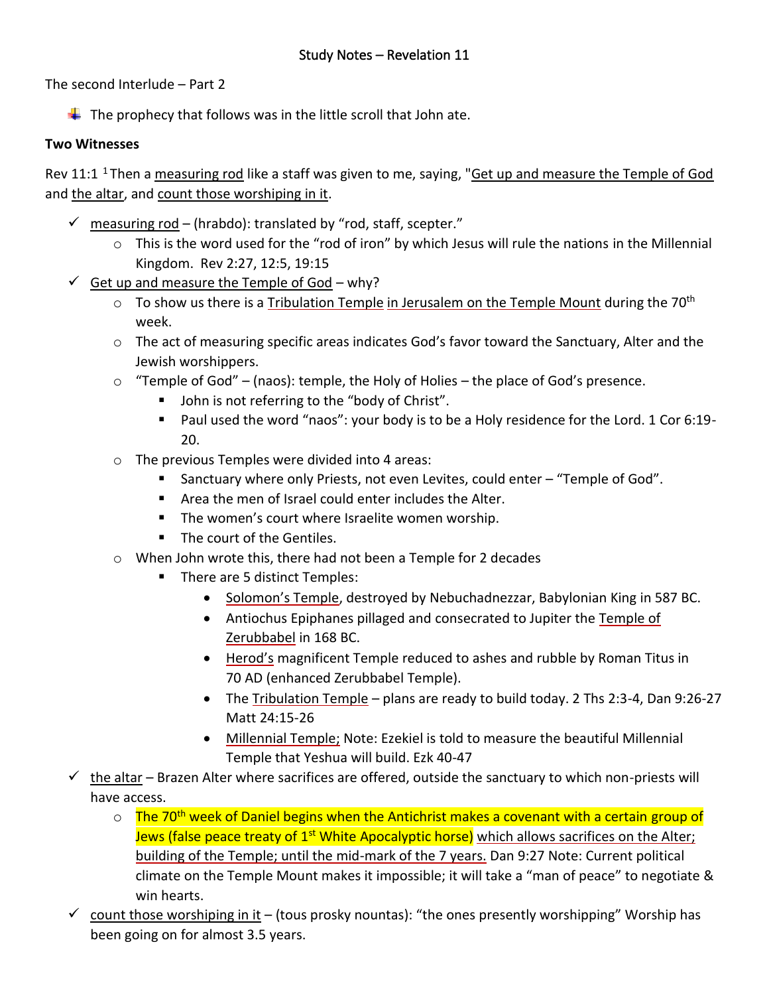The second Interlude – Part 2

 $\downarrow$  The prophecy that follows was in the little scroll that John ate.

## **Two Witnesses**

Rev 11:1<sup>1</sup> Then a measuring rod like a staff was given to me, saying, "Get up and measure the Temple of God and the altar, and count those worshiping in it.

- $\checkmark$  measuring rod (hrabdo): translated by "rod, staff, scepter."
	- $\circ$  This is the word used for the "rod of iron" by which Jesus will rule the nations in the Millennial Kingdom. Rev 2:27, 12:5, 19:15
- $\checkmark$  Get up and measure the Temple of God why?
	- $\circ$  To show us there is a Tribulation Temple in Jerusalem on the Temple Mount during the 70<sup>th</sup> week.
	- o The act of measuring specific areas indicates God's favor toward the Sanctuary, Alter and the Jewish worshippers.
	- $\circ$  "Temple of God" (naos): temple, the Holy of Holies the place of God's presence.
		- John is not referring to the "body of Christ".
		- Paul used the word "naos": your body is to be a Holy residence for the Lord. 1 Cor 6:19-20.
	- o The previous Temples were divided into 4 areas:
		- Sanctuary where only Priests, not even Levites, could enter "Temple of God".
		- Area the men of Israel could enter includes the Alter.
		- The women's court where Israelite women worship.
		- The court of the Gentiles.
	- o When John wrote this, there had not been a Temple for 2 decades
		- There are 5 distinct Temples:
			- Solomon's Temple, destroyed by Nebuchadnezzar, Babylonian King in 587 BC.
			- Antiochus Epiphanes pillaged and consecrated to Jupiter the Temple of Zerubbabel in 168 BC.
			- Herod's magnificent Temple reduced to ashes and rubble by Roman Titus in 70 AD (enhanced Zerubbabel Temple).
			- The Tribulation Temple plans are ready to build today. 2 Ths 2:3-4, Dan 9:26-27 Matt 24:15-26
			- Millennial Temple; Note: Ezekiel is told to measure the beautiful Millennial Temple that Yeshua will build. Ezk 40-47
- $\checkmark$  the altar Brazen Alter where sacrifices are offered, outside the sanctuary to which non-priests will have access.
	- $\circ$  The 70<sup>th</sup> week of Daniel begins when the Antichrist makes a covenant with a certain group of Jews (false peace treaty of 1<sup>st</sup> White Apocalyptic horse) which allows sacrifices on the Alter; building of the Temple; until the mid-mark of the 7 years. Dan 9:27 Note: Current political climate on the Temple Mount makes it impossible; it will take a "man of peace" to negotiate & win hearts.
- $\checkmark$  count those worshiping in it (tous prosky nountas): "the ones presently worshipping" Worship has been going on for almost 3.5 years.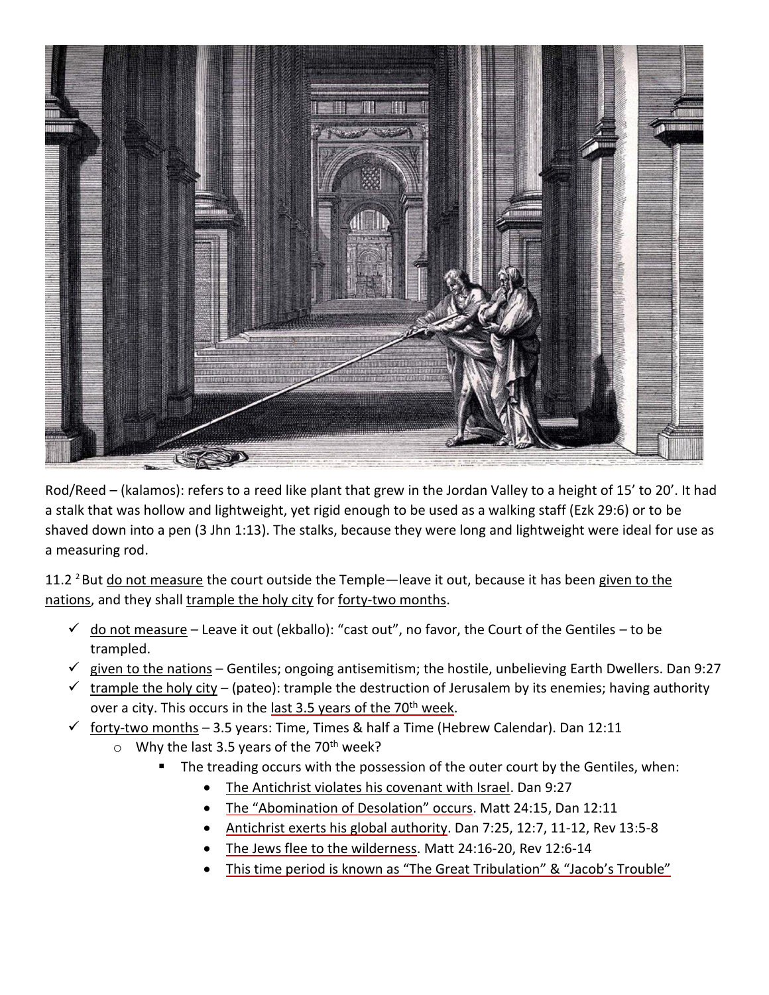

Rod/Reed – (kalamos): refers to a reed like plant that grew in the Jordan Valley to a height of 15' to 20'. It had a stalk that was hollow and lightweight, yet rigid enough to be used as a walking staff (Ezk 29:6) or to be shaved down into a pen (3 Jhn 1:13). The stalks, because they were long and lightweight were ideal for use as a measuring rod.

11.2  $2$  But do not measure the court outside the Temple—leave it out, because it has been given to the nations, and they shall trample the holy city for forty-two months.

- $\checkmark$  do not measure Leave it out (ekballo): "cast out", no favor, the Court of the Gentiles to be trampled.
- $\check{\phantom{\phi}}$  given to the nations Gentiles; ongoing antisemitism; the hostile, unbelieving Earth Dwellers. Dan 9:27
- $\checkmark$  trample the holy city (pateo): trample the destruction of Jerusalem by its enemies; having authority over a city. This occurs in the last 3.5 years of the 70<sup>th</sup> week.
- $\checkmark$  forty-two months 3.5 years: Time, Times & half a Time (Hebrew Calendar). Dan 12:11
	- $\circ$  Why the last 3.5 years of the 70<sup>th</sup> week?
		- The treading occurs with the possession of the outer court by the Gentiles, when:
			- The Antichrist violates his covenant with Israel. Dan 9:27
			- The "Abomination of Desolation" occurs. Matt 24:15, Dan 12:11
			- Antichrist exerts his global authority. Dan 7:25, 12:7, 11-12, Rev 13:5-8
			- The Jews flee to the wilderness. Matt 24:16-20, Rev 12:6-14
			- This time period is known as "The Great Tribulation" & "Jacob's Trouble"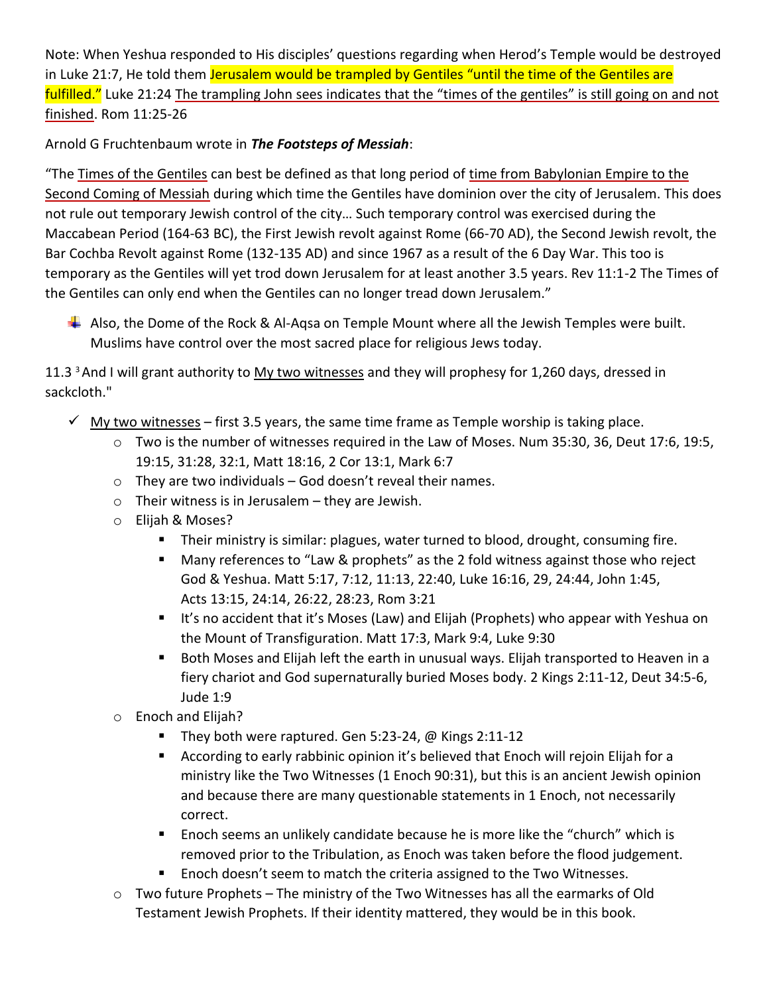Note: When Yeshua responded to His disciples' questions regarding when Herod's Temple would be destroyed in Luke 21:7, He told them Jerusalem would be trampled by Gentiles "until the time of the Gentiles are fulfilled." Luke 21:24 The trampling John sees indicates that the "times of the gentiles" is still going on and not finished. Rom 11:25-26

Arnold G Fruchtenbaum wrote in *The Footsteps of Messiah*:

"The Times of the Gentiles can best be defined as that long period of time from Babylonian Empire to the Second Coming of Messiah during which time the Gentiles have dominion over the city of Jerusalem. This does not rule out temporary Jewish control of the city… Such temporary control was exercised during the Maccabean Period (164-63 BC), the First Jewish revolt against Rome (66-70 AD), the Second Jewish revolt, the Bar Cochba Revolt against Rome (132-135 AD) and since 1967 as a result of the 6 Day War. This too is temporary as the Gentiles will yet trod down Jerusalem for at least another 3.5 years. Rev 11:1-2 The Times of the Gentiles can only end when the Gentiles can no longer tread down Jerusalem."

 $\downarrow$  Also, the Dome of the Rock & Al-Aqsa on Temple Mount where all the Jewish Temples were built. Muslims have control over the most sacred place for religious Jews today.

11.3<sup>3</sup> And I will grant authority to My two witnesses and they will prophesy for 1,260 days, dressed in sackcloth."

- $\checkmark$  My two witnesses first 3.5 years, the same time frame as Temple worship is taking place.
	- o Two is the number of witnesses required in the Law of Moses. Num 35:30, 36, Deut 17:6, 19:5, 19:15, 31:28, 32:1, Matt 18:16, 2 Cor 13:1, Mark 6:7
	- $\circ$  They are two individuals God doesn't reveal their names.
	- $\circ$  Their witness is in Jerusalem they are Jewish.
	- o Elijah & Moses?
		- Their ministry is similar: plagues, water turned to blood, drought, consuming fire.
		- Many references to "Law & prophets" as the 2 fold witness against those who reject God & Yeshua. Matt 5:17, 7:12, 11:13, 22:40, Luke 16:16, 29, 24:44, John 1:45, Acts 13:15, 24:14, 26:22, 28:23, Rom 3:21
		- It's no accident that it's Moses (Law) and Elijah (Prophets) who appear with Yeshua on the Mount of Transfiguration. Matt 17:3, Mark 9:4, Luke 9:30
		- Both Moses and Elijah left the earth in unusual ways. Elijah transported to Heaven in a fiery chariot and God supernaturally buried Moses body. 2 Kings 2:11-12, Deut 34:5-6, Jude 1:9
	- o Enoch and Elijah?
		- They both were raptured. Gen 5:23-24, @ Kings 2:11-12
		- According to early rabbinic opinion it's believed that Enoch will rejoin Elijah for a ministry like the Two Witnesses (1 Enoch 90:31), but this is an ancient Jewish opinion and because there are many questionable statements in 1 Enoch, not necessarily correct.
		- Enoch seems an unlikely candidate because he is more like the "church" which is removed prior to the Tribulation, as Enoch was taken before the flood judgement.
		- Enoch doesn't seem to match the criteria assigned to the Two Witnesses.
	- o Two future Prophets The ministry of the Two Witnesses has all the earmarks of Old Testament Jewish Prophets. If their identity mattered, they would be in this book.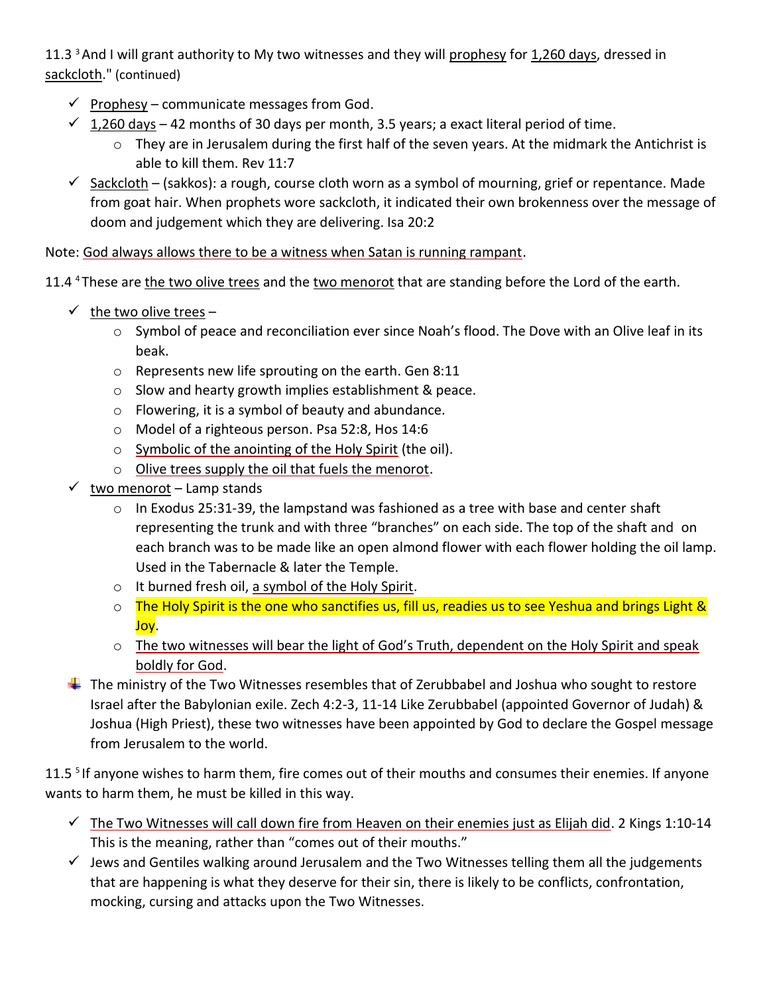11.3<sup>3</sup> And I will grant authority to My two witnesses and they will prophesy for 1,260 days, dressed in sackcloth." (continued)

- $\checkmark$  Prophesy communicate messages from God.
- $\checkmark$  1,260 days 42 months of 30 days per month, 3.5 years; a exact literal period of time.
	- o They are in Jerusalem during the first half of the seven years. At the midmark the Antichrist is able to kill them. Rev 11:7
- $\checkmark$  Sackcloth (sakkos): a rough, course cloth worn as a symbol of mourning, grief or repentance. Made from goat hair. When prophets wore sackcloth, it indicated their own brokenness over the message of doom and judgement which they are delivering. Isa 20:2

Note: God always allows there to be a witness when Satan is running rampant.

11.4 <sup>4</sup>These are the two olive trees and the two menorot that are standing before the Lord of the earth.

- $\checkmark$  the two olive trees
	- o Symbol of peace and reconciliation ever since Noah's flood. The Dove with an Olive leaf in its beak.
	- o Represents new life sprouting on the earth. Gen 8:11
	- o Slow and hearty growth implies establishment & peace.
	- o Flowering, it is a symbol of beauty and abundance.
	- o Model of a righteous person. Psa 52:8, Hos 14:6
	- o Symbolic of the anointing of the Holy Spirit (the oil).
	- o Olive trees supply the oil that fuels the menorot.
- $\checkmark$  two menorot Lamp stands
	- $\circ$  In Exodus 25:31-39, the lampstand was fashioned as a tree with base and center shaft representing the trunk and with three "branches" on each side. The top of the shaft and on each branch was to be made like an open almond flower with each flower holding the oil lamp. Used in the Tabernacle & later the Temple.
	- o It burned fresh oil, a symbol of the Holy Spirit.
	- o The Holy Spirit is the one who sanctifies us, fill us, readies us to see Yeshua and brings Light & Joy.
	- o The two witnesses will bear the light of God's Truth, dependent on the Holy Spirit and speak boldly for God.
- $\ddot{\phantom{1}}$  The ministry of the Two Witnesses resembles that of Zerubbabel and Joshua who sought to restore Israel after the Babylonian exile. Zech 4:2-3, 11-14 Like Zerubbabel (appointed Governor of Judah) & Joshua (High Priest), these two witnesses have been appointed by God to declare the Gospel message from Jerusalem to the world.

11.5<sup>5</sup> If anyone wishes to harm them, fire comes out of their mouths and consumes their enemies. If anyone wants to harm them, he must be killed in this way.

- $\checkmark$  The Two Witnesses will call down fire from Heaven on their enemies just as Elijah did. 2 Kings 1:10-14 This is the meaning, rather than "comes out of their mouths."
- ✓ Jews and Gentiles walking around Jerusalem and the Two Witnesses telling them all the judgements that are happening is what they deserve for their sin, there is likely to be conflicts, confrontation, mocking, cursing and attacks upon the Two Witnesses.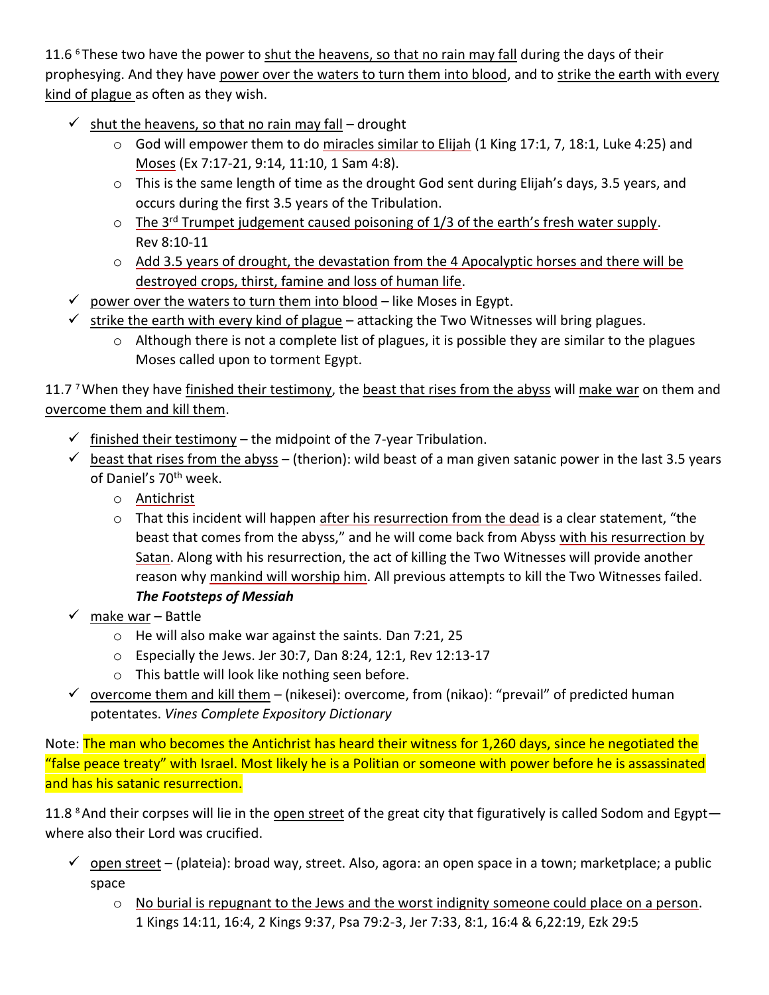11.6  $6$  These two have the power to shut the heavens, so that no rain may fall during the days of their prophesying. And they have power over the waters to turn them into blood, and to strike the earth with every kind of plague as often as they wish.

- $\checkmark$  shut the heavens, so that no rain may fall drought
	- o God will empower them to do miracles similar to Elijah (1 King 17:1, 7, 18:1, Luke 4:25) and Moses (Ex 7:17-21, 9:14, 11:10, 1 Sam 4:8).
	- o This is the same length of time as the drought God sent during Elijah's days, 3.5 years, and occurs during the first 3.5 years of the Tribulation.
	- $\circ$  The 3<sup>rd</sup> Trumpet judgement caused poisoning of 1/3 of the earth's fresh water supply. Rev 8:10-11
	- o Add 3.5 years of drought, the devastation from the 4 Apocalyptic horses and there will be destroyed crops, thirst, famine and loss of human life.
- $\checkmark$  power over the waters to turn them into blood like Moses in Egypt.
- $\checkmark$  strike the earth with every kind of plague attacking the Two Witnesses will bring plagues.
	- o Although there is not a complete list of plagues, it is possible they are similar to the plagues Moses called upon to torment Egypt.

11.7 7 When they have finished their testimony, the beast that rises from the abyss will make war on them and overcome them and kill them.

- $\checkmark$  finished their testimony the midpoint of the 7-year Tribulation.
- $\checkmark$  beast that rises from the abyss (therion): wild beast of a man given satanic power in the last 3.5 years of Daniel's 70<sup>th</sup> week.
	- o Antichrist
	- o That this incident will happen after his resurrection from the dead is a clear statement, "the beast that comes from the abyss," and he will come back from Abyss with his resurrection by Satan. Along with his resurrection, the act of killing the Two Witnesses will provide another reason why mankind will worship him. All previous attempts to kill the Two Witnesses failed. *The Footsteps of Messiah*
- ✓ make war Battle
	- o He will also make war against the saints. Dan 7:21, 25
	- o Especially the Jews. Jer 30:7, Dan 8:24, 12:1, Rev 12:13-17
	- o This battle will look like nothing seen before.
- $\checkmark$  overcome them and kill them (nikesei): overcome, from (nikao): "prevail" of predicted human potentates. *Vines Complete Expository Dictionary*

Note: The man who becomes the Antichrist has heard their witness for 1,260 days, since he negotiated the "false peace treaty" with Israel. Most likely he is a Politian or someone with power before he is assassinated and has his satanic resurrection.

11.8 <sup>8</sup> And their corpses will lie in the open street of the great city that figuratively is called Sodom and Egyptwhere also their Lord was crucified.

- $\checkmark$  open street (plateia): broad way, street. Also, agora: an open space in a town; marketplace; a public space
	- $\circ$  No burial is repugnant to the Jews and the worst indignity someone could place on a person. 1 Kings 14:11, 16:4, 2 Kings 9:37, Psa 79:2-3, Jer 7:33, 8:1, 16:4 & 6,22:19, Ezk 29:5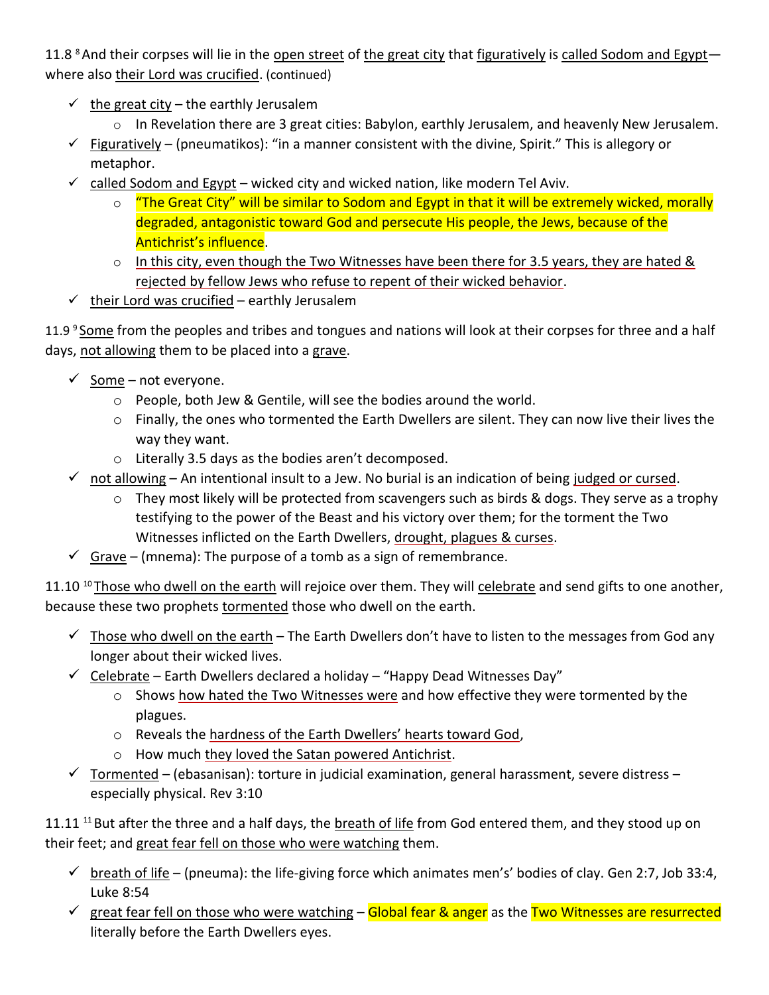11.8 <sup>8</sup> And their corpses will lie in the open street of the great city that figuratively is called Sodom and Egyptwhere also their Lord was crucified. (continued)

- $\checkmark$  the great city the earthly Jerusalem
	- o In Revelation there are 3 great cities: Babylon, earthly Jerusalem, and heavenly New Jerusalem.
- $\checkmark$  Figuratively (pneumatikos): "in a manner consistent with the divine, Spirit." This is allegory or metaphor.
- $\checkmark$  called Sodom and Egypt wicked city and wicked nation, like modern Tel Aviv.
	- $\circ$  "The Great City" will be similar to Sodom and Egypt in that it will be extremely wicked, morally degraded, antagonistic toward God and persecute His people, the Jews, because of the Antichrist's influence.
	- $\circ$  In this city, even though the Two Witnesses have been there for 3.5 years, they are hated & rejected by fellow Jews who refuse to repent of their wicked behavior.
- $\checkmark$  their Lord was crucified earthly Jerusalem

11.9 <sup>9</sup> Some from the peoples and tribes and tongues and nations will look at their corpses for three and a half days, not allowing them to be placed into a grave.

- $\checkmark$  Some not everyone.
	- o People, both Jew & Gentile, will see the bodies around the world.
	- $\circ$  Finally, the ones who tormented the Earth Dwellers are silent. They can now live their lives the way they want.
	- o Literally 3.5 days as the bodies aren't decomposed.
- $\checkmark$  not allowing An intentional insult to a Jew. No burial is an indication of being judged or cursed.
	- $\circ$  They most likely will be protected from scavengers such as birds & dogs. They serve as a trophy testifying to the power of the Beast and his victory over them; for the torment the Two Witnesses inflicted on the Earth Dwellers, drought, plagues & curses.
- $\checkmark$  Grave (mnema): The purpose of a tomb as a sign of remembrance.

11.10 <sup>10</sup>Those who dwell on the earth will rejoice over them. They will celebrate and send gifts to one another, because these two prophets tormented those who dwell on the earth.

- $\checkmark$  Those who dwell on the earth The Earth Dwellers don't have to listen to the messages from God any longer about their wicked lives.
- $\checkmark$  Celebrate Earth Dwellers declared a holiday "Happy Dead Witnesses Day"
	- $\circ$  Shows how hated the Two Witnesses were and how effective they were tormented by the plagues.
	- o Reveals the hardness of the Earth Dwellers' hearts toward God,
	- o How much they loved the Satan powered Antichrist.
- $\checkmark$  Tormented (ebasanisan): torture in judicial examination, general harassment, severe distress especially physical. Rev 3:10

11.11<sup>11</sup> But after the three and a half days, the breath of life from God entered them, and they stood up on their feet; and great fear fell on those who were watching them.

- $\checkmark$  breath of life (pneuma): the life-giving force which animates men's' bodies of clay. Gen 2:7, Job 33:4, Luke 8:54
- $\checkmark$  great fear fell on those who were watching Global fear & anger as the Two Witnesses are resurrected literally before the Earth Dwellers eyes.